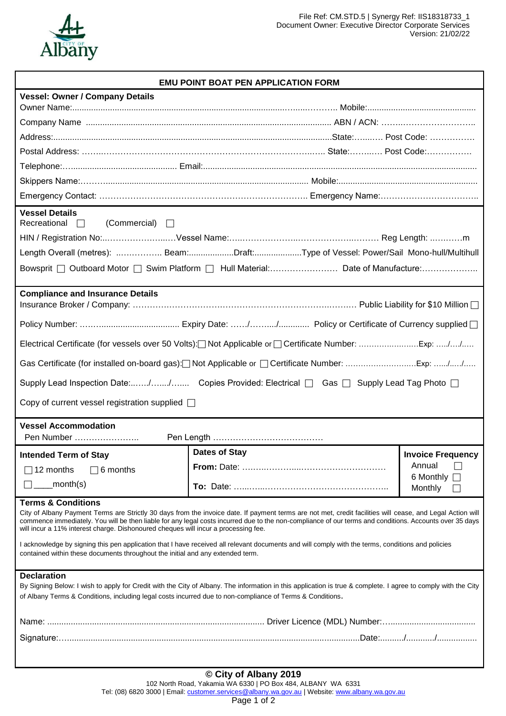

## **EMU POINT BOAT PEN APPLICATION FORM**

| <b>Vessel: Owner / Company Details</b>                                                                                                                                                                                                                                                                                                                                                                                                                                                                                                                                                                                                                                              |                                                                                     |                                      |  |
|-------------------------------------------------------------------------------------------------------------------------------------------------------------------------------------------------------------------------------------------------------------------------------------------------------------------------------------------------------------------------------------------------------------------------------------------------------------------------------------------------------------------------------------------------------------------------------------------------------------------------------------------------------------------------------------|-------------------------------------------------------------------------------------|--------------------------------------|--|
|                                                                                                                                                                                                                                                                                                                                                                                                                                                                                                                                                                                                                                                                                     |                                                                                     |                                      |  |
|                                                                                                                                                                                                                                                                                                                                                                                                                                                                                                                                                                                                                                                                                     |                                                                                     |                                      |  |
|                                                                                                                                                                                                                                                                                                                                                                                                                                                                                                                                                                                                                                                                                     |                                                                                     |                                      |  |
|                                                                                                                                                                                                                                                                                                                                                                                                                                                                                                                                                                                                                                                                                     |                                                                                     |                                      |  |
|                                                                                                                                                                                                                                                                                                                                                                                                                                                                                                                                                                                                                                                                                     |                                                                                     |                                      |  |
|                                                                                                                                                                                                                                                                                                                                                                                                                                                                                                                                                                                                                                                                                     |                                                                                     |                                      |  |
| <b>Vessel Details</b><br>Recreational<br>(Commercial)<br>$\perp$<br>$\Box$                                                                                                                                                                                                                                                                                                                                                                                                                                                                                                                                                                                                          |                                                                                     |                                      |  |
|                                                                                                                                                                                                                                                                                                                                                                                                                                                                                                                                                                                                                                                                                     |                                                                                     |                                      |  |
|                                                                                                                                                                                                                                                                                                                                                                                                                                                                                                                                                                                                                                                                                     | Length Overall (metres):  Beam:Draft:Type of Vessel: Power/Sail Mono-hull/Multihull |                                      |  |
|                                                                                                                                                                                                                                                                                                                                                                                                                                                                                                                                                                                                                                                                                     |                                                                                     |                                      |  |
| <b>Compliance and Insurance Details</b>                                                                                                                                                                                                                                                                                                                                                                                                                                                                                                                                                                                                                                             |                                                                                     |                                      |  |
|                                                                                                                                                                                                                                                                                                                                                                                                                                                                                                                                                                                                                                                                                     |                                                                                     |                                      |  |
|                                                                                                                                                                                                                                                                                                                                                                                                                                                                                                                                                                                                                                                                                     |                                                                                     |                                      |  |
|                                                                                                                                                                                                                                                                                                                                                                                                                                                                                                                                                                                                                                                                                     |                                                                                     |                                      |  |
| Supply Lead Inspection Date:// Copies Provided: Electrical □ Gas □ Supply Lead Tag Photo □                                                                                                                                                                                                                                                                                                                                                                                                                                                                                                                                                                                          |                                                                                     |                                      |  |
| Copy of current vessel registration supplied $\Box$                                                                                                                                                                                                                                                                                                                                                                                                                                                                                                                                                                                                                                 |                                                                                     |                                      |  |
| <b>Vessel Accommodation</b>                                                                                                                                                                                                                                                                                                                                                                                                                                                                                                                                                                                                                                                         |                                                                                     |                                      |  |
| Pen Number                                                                                                                                                                                                                                                                                                                                                                                                                                                                                                                                                                                                                                                                          |                                                                                     |                                      |  |
| <b>Intended Term of Stay</b>                                                                                                                                                                                                                                                                                                                                                                                                                                                                                                                                                                                                                                                        | <b>Dates of Stay</b>                                                                | <b>Invoice Frequency</b>             |  |
| $\Box$ 12 months $\Box$ 6 months                                                                                                                                                                                                                                                                                                                                                                                                                                                                                                                                                                                                                                                    |                                                                                     | Annual<br>$\sim$<br>6 Monthly $\Box$ |  |
| _month(s)                                                                                                                                                                                                                                                                                                                                                                                                                                                                                                                                                                                                                                                                           |                                                                                     | Monthly                              |  |
| <b>Terms &amp; Conditions</b><br>City of Albany Payment Terms are Strictly 30 days from the invoice date. If payment terms are not met, credit facilities will cease, and Legal Action will<br>commence immediately. You will be then liable for any legal costs incurred due to the non-compliance of our terms and conditions. Accounts over 35 days<br>will incur a 11% interest charge. Dishonoured cheques will incur a processing fee.<br>I acknowledge by signing this pen application that I have received all relevant documents and will comply with the terms, conditions and policies<br>contained within these documents throughout the initial and any extended term. |                                                                                     |                                      |  |
| <b>Declaration</b><br>By Signing Below: I wish to apply for Credit with the City of Albany. The information in this application is true & complete. I agree to comply with the City<br>of Albany Terms & Conditions, including legal costs incurred due to non-compliance of Terms & Conditions.                                                                                                                                                                                                                                                                                                                                                                                    |                                                                                     |                                      |  |
|                                                                                                                                                                                                                                                                                                                                                                                                                                                                                                                                                                                                                                                                                     |                                                                                     |                                      |  |
|                                                                                                                                                                                                                                                                                                                                                                                                                                                                                                                                                                                                                                                                                     |                                                                                     |                                      |  |
|                                                                                                                                                                                                                                                                                                                                                                                                                                                                                                                                                                                                                                                                                     |                                                                                     |                                      |  |